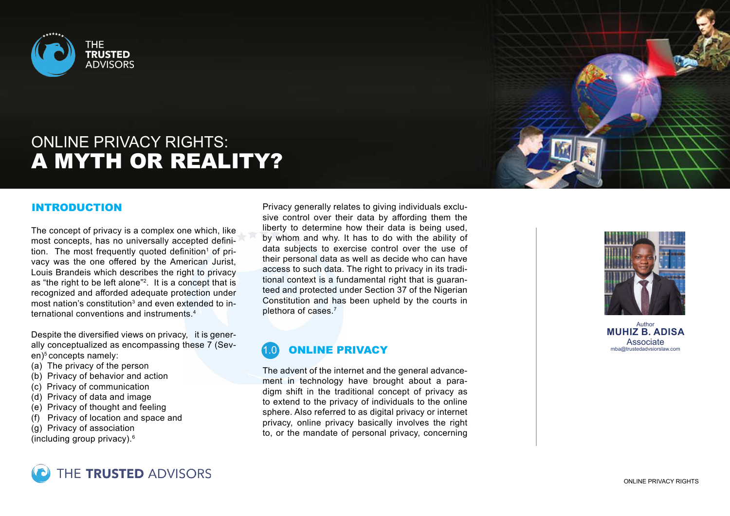

# ONLINE PRIVACY RIGHTS: A MYTH OR REALITY?

### INTRODUCTION

The concept of privacy is a complex one which, like most concepts, has no universally accepted definition. The most frequently quoted definition<sup>1</sup> of privacy was the one offered by the American Jurist, Louis Brandeis which describes the right to privacy as "the right to be left alone"2. It is a concept that is recognized and afforded adequate protection under most nation's constitution<sup>3</sup> and even extended to international conventions and instruments.4

Despite the diversified views on privacy, it is generally conceptualized as encompassing these 7 (Seven)<sup>5</sup> concepts namely:

- (a) The privacy of the person
- (b) Privacy of behavior and action
- (c) Privacy of communication
- (d) Privacy of data and image
- (e) Privacy of thought and feeling
- (f) Privacy of location and space and
- (g) Privacy of association
- (including group privacy).<sup>6</sup>

Privacy generally relates to giving individuals exclusive control over their data by affording them the liberty to determine how their data is being used, by whom and why. It has to do with the ability of data subjects to exercise control over the use of their personal data as well as decide who can have access to such data. The right to privacy in its traditional context is a fundamental right that is guaranteed and protected under Section 37 of the Nigerian Constitution and has been upheld by the courts in plethora of cases.<sup>7</sup>

## **ONLINE PRIVACY**

The advent of the internet and the general advancement in technology have brought about a paradigm shift in the traditional concept of privacy as to extend to the privacy of individuals to the online sphere. Also referred to as digital privacy or internet privacy, online privacy basically involves the right to, or the mandate of personal privacy, concerning



Author **MUHIZ B. ADISA** Associate mba@trustedadvsiorslaw.com

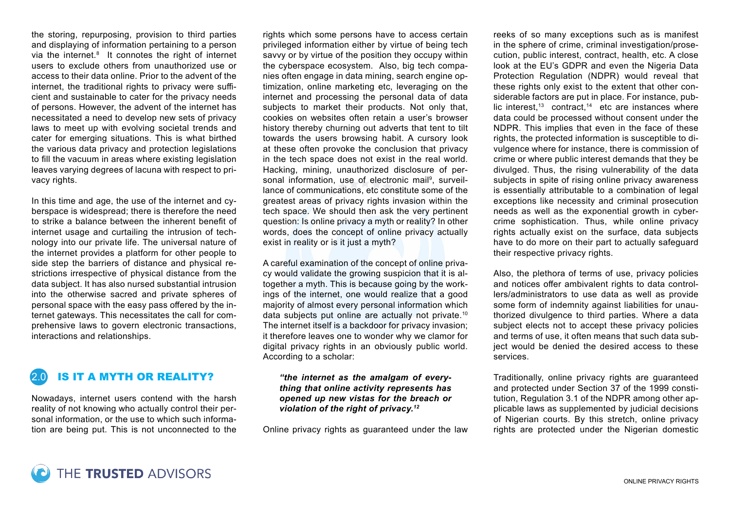the storing, repurposing, provision to third parties and displaying of information pertaining to a person via the internet.<sup>8</sup> It connotes the right of internet users to exclude others from unauthorized use or access to their data online. Prior to the advent of the internet, the traditional rights to privacy were sufficient and sustainable to cater for the privacy needs of persons. However, the advent of the internet has necessitated a need to develop new sets of privacy laws to meet up with evolving societal trends and cater for emerging situations. This is what birthed the various data privacy and protection legislations to fill the vacuum in areas where existing legislation leaves varying degrees of lacuna with respect to privacy rights.

In this time and age, the use of the internet and cyberspace is widespread; there is therefore the need to strike a balance between the inherent benefit of internet usage and curtailing the intrusion of technology into our private life. The universal nature of the internet provides a platform for other people to side step the barriers of distance and physical restrictions irrespective of physical distance from the data subject. It has also nursed substantial intrusion into the otherwise sacred and private spheres of personal space with the easy pass offered by the internet gateways. This necessitates the call for comprehensive laws to govern electronic transactions, interactions and relationships.

## 2.0 IS IT A MYTH OR REALITY?

Nowadays, internet users contend with the harsh reality of not knowing who actually control their personal information, or the use to which such information are being put. This is not unconnected to the

rights which some persons have to access certain privileged information either by virtue of being tech savvy or by virtue of the position they occupy within the cyberspace ecosystem. Also, big tech companies often engage in data mining, search engine optimization, online marketing etc, leveraging on the internet and processing the personal data of data subjects to market their products. Not only that, cookies on websites often retain a user's browser history thereby churning out adverts that tent to tilt towards the users browsing habit. A cursory look at these often provoke the conclusion that privacy in the tech space does not exist in the real world. Hacking, mining, unauthorized disclosure of personal information, use of electronic mail<sup>9</sup>, surveillance of communications, etc constitute some of the greatest areas of privacy rights invasion within the tech space. We should then ask the very pertinent question: Is online privacy a myth or reality? In other words, does the concept of online privacy actually exist in reality or is it just a myth?

A careful examination of the concept of online privacy would validate the growing suspicion that it is altogether a myth. This is because going by the workings of the internet, one would realize that a good majority of almost every personal information which data subjects put online are actually not private.<sup>10</sup> The internet itself is a backdoor for privacy invasion; it therefore leaves one to wonder why we clamor for digital privacy rights in an obviously public world. According to a scholar:

*"the internet as the amalgam of everything that online activity represents has opened up new vistas for the breach or violation of the right of privacy.12*

Online privacy rights as guaranteed under the law

reeks of so many exceptions such as is manifest in the sphere of crime, criminal investigation/prosecution, public interest, contract, health, etc. A close look at the EU's GDPR and even the Nigeria Data Protection Regulation (NDPR) would reveal that these rights only exist to the extent that other considerable factors are put in place. For instance, public interest, $13$  contract, $14$  etc are instances where data could be processed without consent under the NDPR. This implies that even in the face of these rights, the protected information is susceptible to divulgence where for instance, there is commission of crime or where public interest demands that they be divulged. Thus, the rising vulnerability of the data subjects in spite of rising online privacy awareness is essentially attributable to a combination of legal exceptions like necessity and criminal prosecution needs as well as the exponential growth in cybercrime sophistication. Thus, while online privacy rights actually exist on the surface, data subjects have to do more on their part to actually safeguard their respective privacy rights.

Also, the plethora of terms of use, privacy policies and notices offer ambivalent rights to data controllers/administrators to use data as well as provide some form of indemnity against liabilities for unauthorized divulgence to third parties. Where a data subject elects not to accept these privacy policies and terms of use, it often means that such data subject would be denied the desired access to these services.

Traditionally, online privacy rights are guaranteed and protected under Section 37 of the 1999 constitution, Regulation 3.1 of the NDPR among other applicable laws as supplemented by judicial decisions of Nigerian courts. By this stretch, online privacy rights are protected under the Nigerian domestic

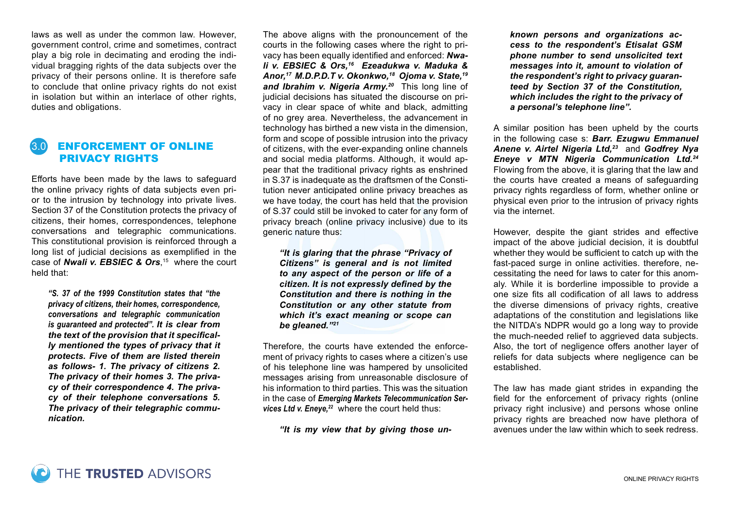laws as well as under the common law. However, government control, crime and sometimes, contract play a big role in decimating and eroding the individual bragging rights of the data subjects over the privacy of their persons online. It is therefore safe to conclude that online privacy rights do not exist in isolation but within an interlace of other rights, duties and obligations.

## 3.0 ENFORCEMENT OF ONLINE PRIVACY RIGHTS

Efforts have been made by the laws to safeguard the online privacy rights of data subjects even prior to the intrusion by technology into private lives. Section 37 of the Constitution protects the privacy of citizens, their homes, correspondences, telephone conversations and telegraphic communications. This constitutional provision is reinforced through a long list of judicial decisions as exemplified in the case of *Nwali v. EBSIEC & Ors*, 15 where the court held that:

*"S. 37 of the 1999 Constitution states that "the privacy of citizens, their homes, correspondence, conversations and telegraphic communication is guaranteed and protected". It is clear from the text of the provision that it specifically mentioned the types of privacy that it protects. Five of them are listed therein as follows- 1. The privacy of citizens 2. The privacy of their homes 3. The privacy of their correspondence 4. The privacy of their telephone conversations 5. The privacy of their telegraphic communication.*

The above aligns with the pronouncement of the courts in the following cases where the right to privacy has been equally identified and enforced: *Nwali v. EBSIEC & Ors,16 Ezeadukwa v. Maduka & Anor,17 M.D.P.D.T v. Okonkwo,18 Ojoma v. State,19 and Ibrahim v. Nigeria Army.20* This long line of judicial decisions has situated the discourse on privacy in clear space of white and black, admitting of no grey area. Nevertheless, the advancement in technology has birthed a new vista in the dimension, form and scope of possible intrusion into the privacy of citizens, with the ever-expanding online channels and social media platforms. Although, it would appear that the traditional privacy rights as enshrined in S.37 is inadequate as the draftsmen of the Constitution never anticipated online privacy breaches as we have today, the court has held that the provision of S.37 could still be invoked to cater for any form of privacy breach (online privacy inclusive) due to its generic nature thus:

*"It is glaring that the phrase "Privacy of Citizens" is general and is not limited to any aspect of the person or life of a citizen. It is not expressly defined by the Constitution and there is nothing in the Constitution or any other statute from which it's exact meaning or scope can be gleaned."21*

Therefore, the courts have extended the enforcement of privacy rights to cases where a citizen's use of his telephone line was hampered by unsolicited messages arising from unreasonable disclosure of his information to third parties. This was the situation in the case of *Emerging Markets Telecommunication Ser*vices Ltd v. Eneye,<sup>22</sup> where the court held thus:

*"It is my view that by giving those un-*

*known persons and organizations access to the respondent's Etisalat GSM phone number to send unsolicited text messages into it, amount to violation of the respondent's right to privacy guaranteed by Section 37 of the Constitution, which includes the right to the privacy of a personal's telephone line".*

A similar position has been upheld by the courts in the following case s: *Barr. Ezugwu Emmanuel Anene v. Airtel Nigeria Ltd,23* and *Godfrey Nya Eneye v MTN Nigeria Communication Ltd.24* Flowing from the above, it is glaring that the law and the courts have created a means of safeguarding privacy rights regardless of form, whether online or physical even prior to the intrusion of privacy rights via the internet.

However, despite the giant strides and effective impact of the above judicial decision, it is doubtful whether they would be sufficient to catch up with the fast-paced surge in online activities. therefore, necessitating the need for laws to cater for this anomaly. While it is borderline impossible to provide a one size fits all codification of all laws to address the diverse dimensions of privacy rights, creative adaptations of the constitution and legislations like the NITDA's NDPR would go a long way to provide the much-needed relief to aggrieved data subjects. Also, the tort of negligence offers another layer of reliefs for data subjects where negligence can be established.

The law has made giant strides in expanding the field for the enforcement of privacy rights (online privacy right inclusive) and persons whose online privacy rights are breached now have plethora of avenues under the law within which to seek redress.